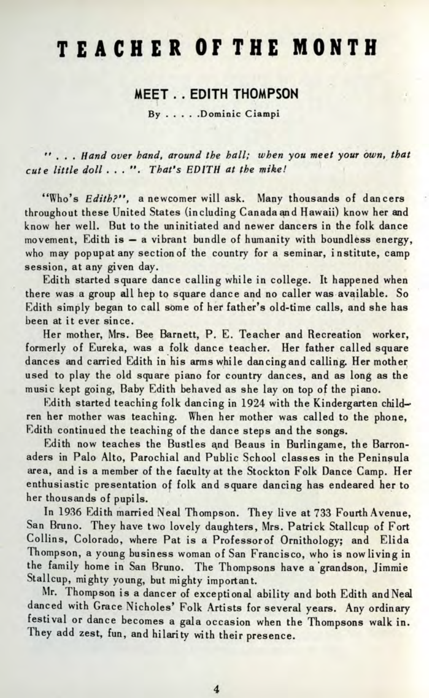## **TEACHE R OF TH E MONT H**

## **MEET . . EDITH THOMPSON**

By . . . . . Dominic Ciampi

".. . *Hand over band, around the hall; when you meet your own, that cute little doll* . . . ". *That's EDITH at the mike!*

"Who's Edith?", a newcomer will ask. Many thousands of dancers throughout these United States (including Canada and Hawaii) know her and know her well. But to the uninitiated and newer dancers in the folk dance movement, Edith is — a vibrant bundle of humanity with boundless energy, who may popupatany section of the country for a seminar, institute, camp session, at any given day.

Edith started square dance calling while in college. It happened when there was a group all hep to square dance and no caller was available. So Edith simply began to call some of her father's old-time calls, and she has been at it ever since.

Her mother, Mrs. Bee Barnett, P. E. Teacher and Recreation worker, formerly of Eureka, was a folk dance teacher. Her father called square dances and carried Edith in his arms while dancingand calling. Her mother used to play the old square piano for country dances, and as long as the music kept going, Baby Edith behaved as she lay on top of the piano.

Edith started teaching folk dancing in 1924 with the Kindergarten children her mother was teaching. When her mother was called to the phone, Edith continued the teaching of the dance steps and the songs.

Edith now teaches the Bustles and Beaus in Burlingame, the Barronaders in Palo Alto, Parochial and Public School classes in the Peninsula area, and is a member of the faculty at the Stockton Folk Dance Camp. Her enthusiastic presentation of folk and square dancing has endeared her to her thousands of pupils.

In 1936 Edith married Neal Thompson. They live at 733 Fourth Avenue, San Bruno. They have two lovely daughters, Mrs. Patrick Stallcup of Fort Collins, Colorado, where Pat is a Professorof Ornithology; and Elida Thompson, a young business woman of San Francisco, who is now living in the family home in San Bruno. The Thompsons have a 'grandson, Jimmie Stallcup, mighty young, but mighty important.

Mr. Thompson is a dancer of exceptional ability and both Edith and Neal danced with Grace Nicholes' Folk Artists for several years. Any ordinary festival or dance becomes a gala occasion when the Thompsons walk in. They add zest, fun, and hilarity with their presence.